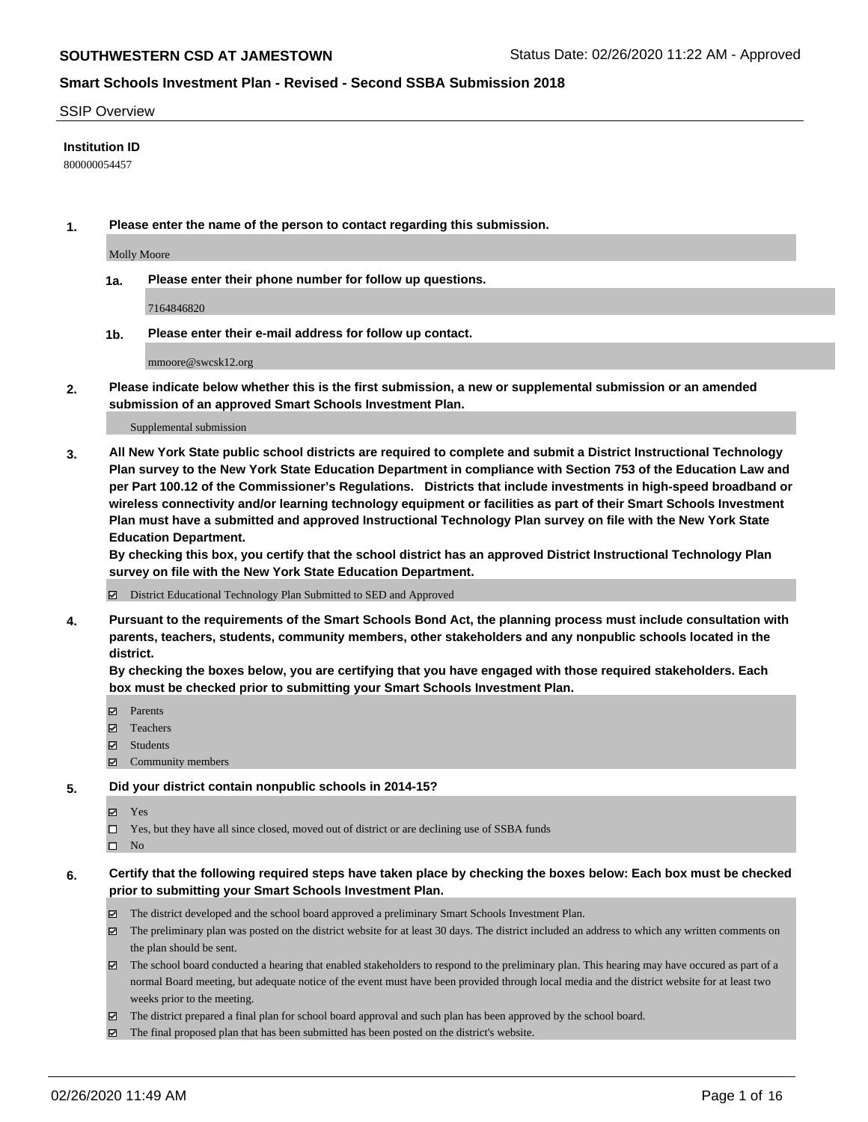#### SSIP Overview

### **Institution ID**

800000054457

**1. Please enter the name of the person to contact regarding this submission.**

Molly Moore

**1a. Please enter their phone number for follow up questions.**

7164846820

**1b. Please enter their e-mail address for follow up contact.**

mmoore@swcsk12.org

**2. Please indicate below whether this is the first submission, a new or supplemental submission or an amended submission of an approved Smart Schools Investment Plan.**

#### Supplemental submission

**3. All New York State public school districts are required to complete and submit a District Instructional Technology Plan survey to the New York State Education Department in compliance with Section 753 of the Education Law and per Part 100.12 of the Commissioner's Regulations. Districts that include investments in high-speed broadband or wireless connectivity and/or learning technology equipment or facilities as part of their Smart Schools Investment Plan must have a submitted and approved Instructional Technology Plan survey on file with the New York State Education Department.** 

**By checking this box, you certify that the school district has an approved District Instructional Technology Plan survey on file with the New York State Education Department.**

District Educational Technology Plan Submitted to SED and Approved

**4. Pursuant to the requirements of the Smart Schools Bond Act, the planning process must include consultation with parents, teachers, students, community members, other stakeholders and any nonpublic schools located in the district.** 

**By checking the boxes below, you are certifying that you have engaged with those required stakeholders. Each box must be checked prior to submitting your Smart Schools Investment Plan.**

- **マ** Parents
- Teachers
- Students
- Community members

#### **5. Did your district contain nonpublic schools in 2014-15?**

**冈** Yes

Yes, but they have all since closed, moved out of district or are declining use of SSBA funds

 $\square$  No

- **6. Certify that the following required steps have taken place by checking the boxes below: Each box must be checked prior to submitting your Smart Schools Investment Plan.**
	- The district developed and the school board approved a preliminary Smart Schools Investment Plan.
	- $\boxtimes$  The preliminary plan was posted on the district website for at least 30 days. The district included an address to which any written comments on the plan should be sent.
	- The school board conducted a hearing that enabled stakeholders to respond to the preliminary plan. This hearing may have occured as part of a normal Board meeting, but adequate notice of the event must have been provided through local media and the district website for at least two weeks prior to the meeting.
	- The district prepared a final plan for school board approval and such plan has been approved by the school board.
	- The final proposed plan that has been submitted has been posted on the district's website.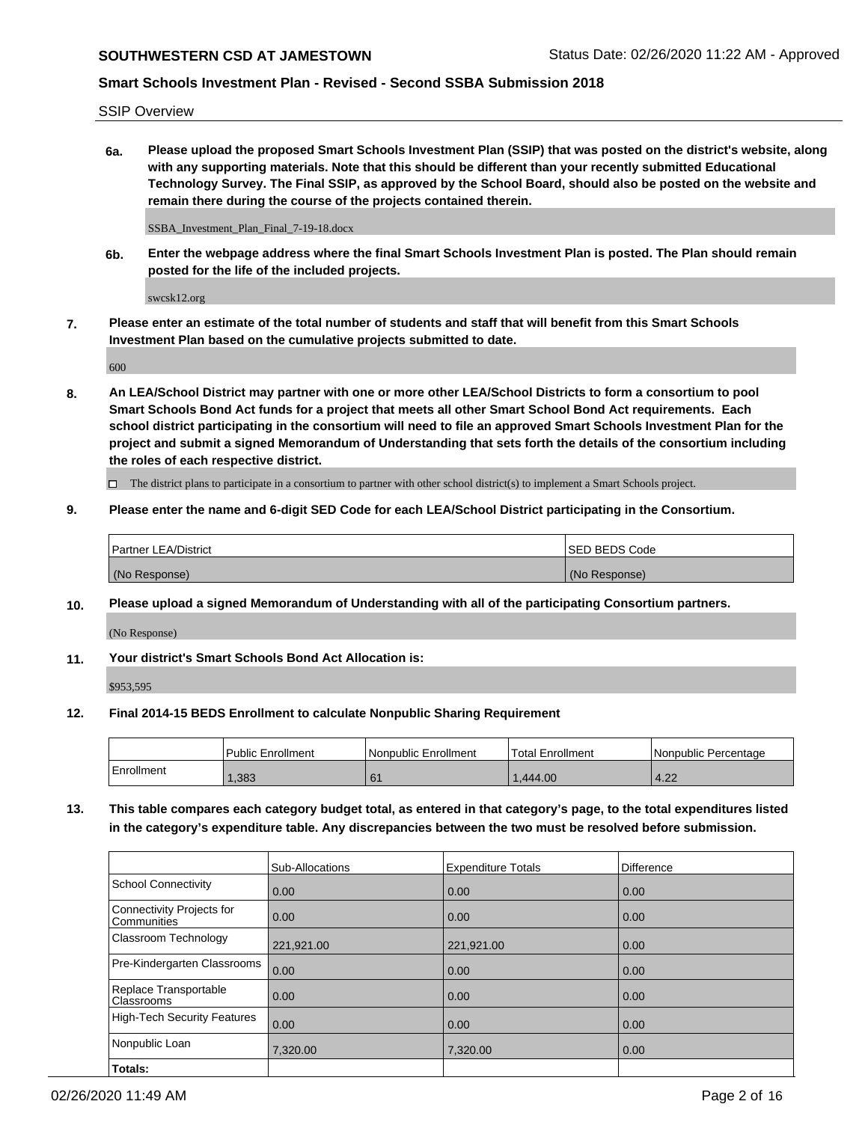SSIP Overview

**6a. Please upload the proposed Smart Schools Investment Plan (SSIP) that was posted on the district's website, along with any supporting materials. Note that this should be different than your recently submitted Educational Technology Survey. The Final SSIP, as approved by the School Board, should also be posted on the website and remain there during the course of the projects contained therein.**

SSBA\_Investment\_Plan\_Final\_7-19-18.docx

**6b. Enter the webpage address where the final Smart Schools Investment Plan is posted. The Plan should remain posted for the life of the included projects.**

swcsk12.org

**7. Please enter an estimate of the total number of students and staff that will benefit from this Smart Schools Investment Plan based on the cumulative projects submitted to date.**

600

**8. An LEA/School District may partner with one or more other LEA/School Districts to form a consortium to pool Smart Schools Bond Act funds for a project that meets all other Smart School Bond Act requirements. Each school district participating in the consortium will need to file an approved Smart Schools Investment Plan for the project and submit a signed Memorandum of Understanding that sets forth the details of the consortium including the roles of each respective district.**

 $\Box$  The district plans to participate in a consortium to partner with other school district(s) to implement a Smart Schools project.

### **9. Please enter the name and 6-digit SED Code for each LEA/School District participating in the Consortium.**

| <b>Partner LEA/District</b> | <b>ISED BEDS Code</b> |
|-----------------------------|-----------------------|
| (No Response)               | (No Response)         |

### **10. Please upload a signed Memorandum of Understanding with all of the participating Consortium partners.**

(No Response)

**11. Your district's Smart Schools Bond Act Allocation is:**

\$953,595

#### **12. Final 2014-15 BEDS Enrollment to calculate Nonpublic Sharing Requirement**

|            | Public Enrollment | Nonpublic Enrollment | Total Enrollment | l Nonpublic Percentage   |
|------------|-------------------|----------------------|------------------|--------------------------|
| Enrollment | ,383              | 61                   | l.444.00         | $\Omega$<br>7. <i>cl</i> |

**13. This table compares each category budget total, as entered in that category's page, to the total expenditures listed in the category's expenditure table. Any discrepancies between the two must be resolved before submission.**

|                                          | Sub-Allocations | <b>Expenditure Totals</b> | Difference |
|------------------------------------------|-----------------|---------------------------|------------|
| <b>School Connectivity</b>               | 0.00            | 0.00                      | 0.00       |
| Connectivity Projects for<br>Communities | 0.00            | 0.00                      | 0.00       |
| Classroom Technology                     | 221,921.00      | 221,921.00                | 0.00       |
| Pre-Kindergarten Classrooms              | 0.00            | 0.00                      | 0.00       |
| Replace Transportable<br>Classrooms      | 0.00            | 0.00                      | 0.00       |
| <b>High-Tech Security Features</b>       | 0.00            | 0.00                      | 0.00       |
| Nonpublic Loan                           | 7,320.00        | 7,320.00                  | 0.00       |
| Totals:                                  |                 |                           |            |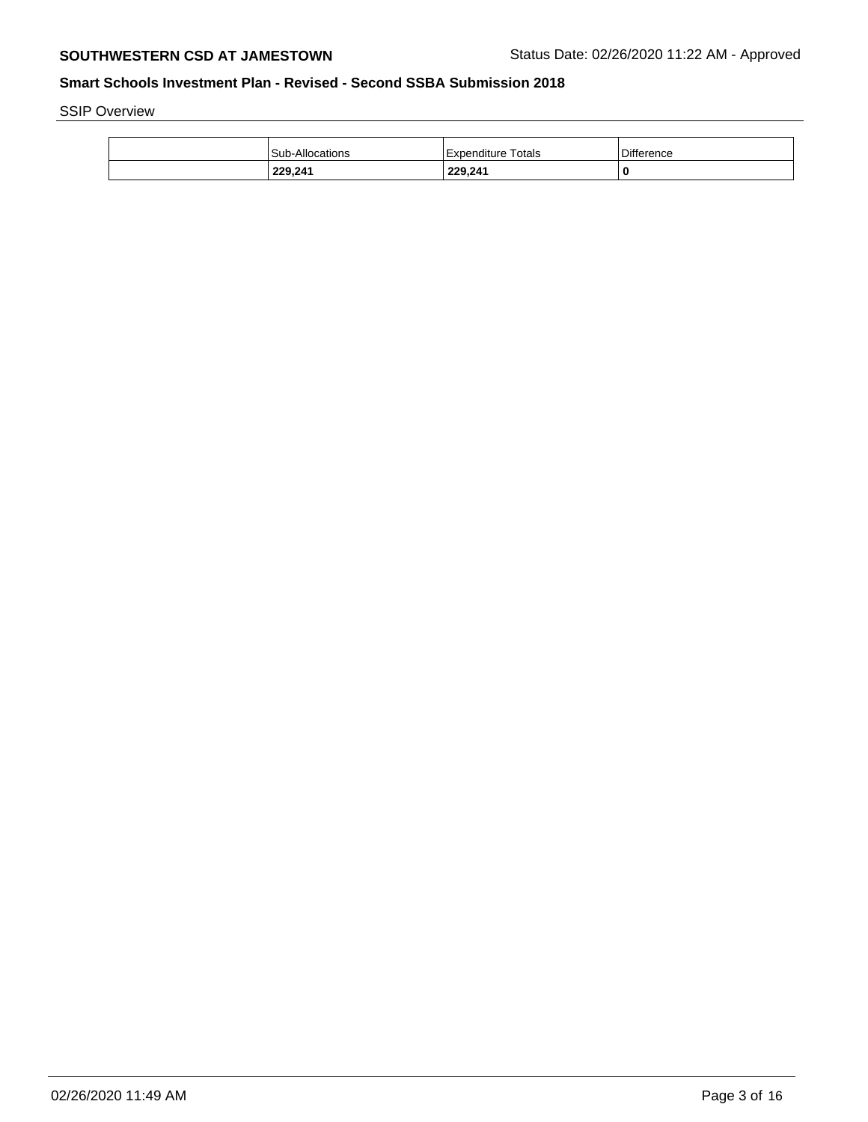SSIP Overview

| 229,241         | 229.241              | 0          |
|-----------------|----------------------|------------|
| Sub-Allocations | l Expenditure Totals | Difference |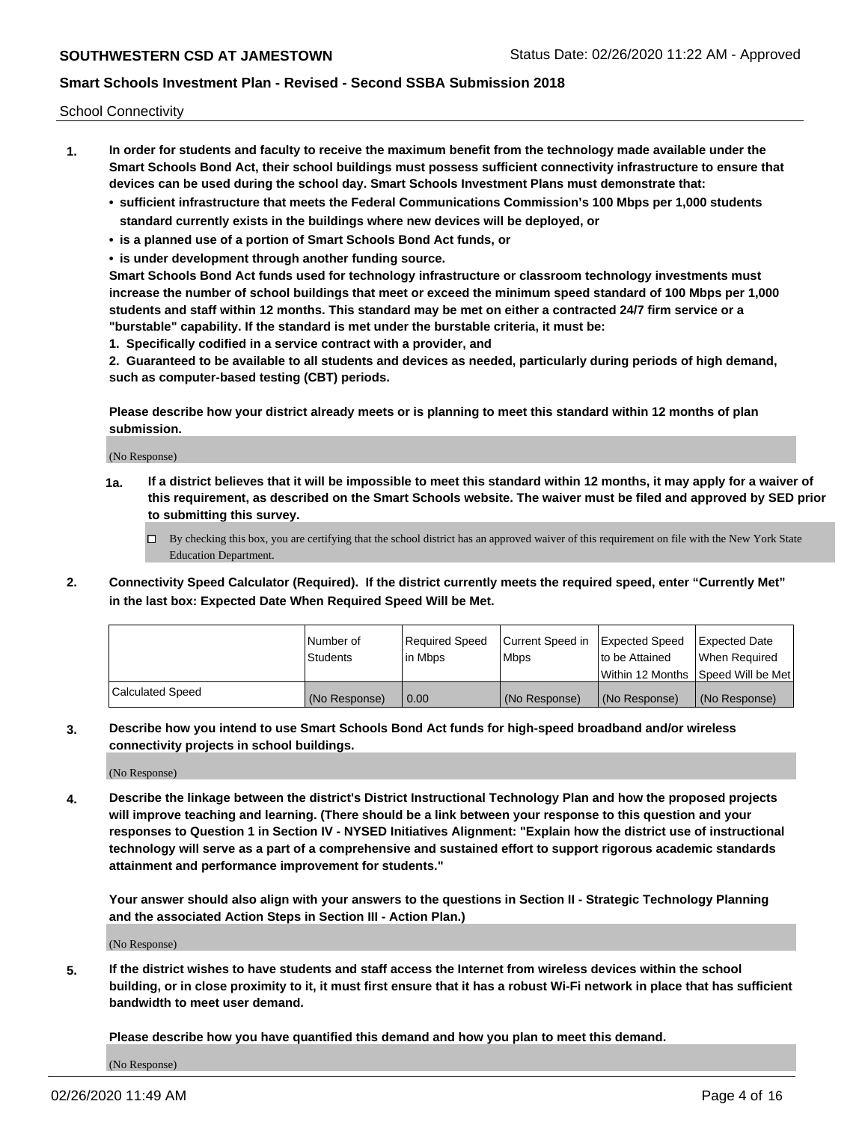School Connectivity

- **1. In order for students and faculty to receive the maximum benefit from the technology made available under the Smart Schools Bond Act, their school buildings must possess sufficient connectivity infrastructure to ensure that devices can be used during the school day. Smart Schools Investment Plans must demonstrate that:**
	- **• sufficient infrastructure that meets the Federal Communications Commission's 100 Mbps per 1,000 students standard currently exists in the buildings where new devices will be deployed, or**
	- **• is a planned use of a portion of Smart Schools Bond Act funds, or**
	- **• is under development through another funding source.**

**Smart Schools Bond Act funds used for technology infrastructure or classroom technology investments must increase the number of school buildings that meet or exceed the minimum speed standard of 100 Mbps per 1,000 students and staff within 12 months. This standard may be met on either a contracted 24/7 firm service or a "burstable" capability. If the standard is met under the burstable criteria, it must be:**

**1. Specifically codified in a service contract with a provider, and**

**2. Guaranteed to be available to all students and devices as needed, particularly during periods of high demand, such as computer-based testing (CBT) periods.**

**Please describe how your district already meets or is planning to meet this standard within 12 months of plan submission.**

(No Response)

**1a. If a district believes that it will be impossible to meet this standard within 12 months, it may apply for a waiver of this requirement, as described on the Smart Schools website. The waiver must be filed and approved by SED prior to submitting this survey.**

 $\Box$  By checking this box, you are certifying that the school district has an approved waiver of this requirement on file with the New York State Education Department.

**2. Connectivity Speed Calculator (Required). If the district currently meets the required speed, enter "Currently Met" in the last box: Expected Date When Required Speed Will be Met.**

|                  | l Number of     | Required Speed | Current Speed in | Expected Speed  | Expected Date                           |
|------------------|-----------------|----------------|------------------|-----------------|-----------------------------------------|
|                  | <b>Students</b> | In Mbps        | l Mbps           | to be Attained  | When Required                           |
|                  |                 |                |                  |                 | l Within 12 Months ISpeed Will be Met l |
| Calculated Speed | (No Response)   | 0.00           | (No Response)    | l (No Response) | l (No Response)                         |

**3. Describe how you intend to use Smart Schools Bond Act funds for high-speed broadband and/or wireless connectivity projects in school buildings.**

(No Response)

**4. Describe the linkage between the district's District Instructional Technology Plan and how the proposed projects will improve teaching and learning. (There should be a link between your response to this question and your responses to Question 1 in Section IV - NYSED Initiatives Alignment: "Explain how the district use of instructional technology will serve as a part of a comprehensive and sustained effort to support rigorous academic standards attainment and performance improvement for students."** 

**Your answer should also align with your answers to the questions in Section II - Strategic Technology Planning and the associated Action Steps in Section III - Action Plan.)**

(No Response)

**5. If the district wishes to have students and staff access the Internet from wireless devices within the school building, or in close proximity to it, it must first ensure that it has a robust Wi-Fi network in place that has sufficient bandwidth to meet user demand.**

**Please describe how you have quantified this demand and how you plan to meet this demand.**

(No Response)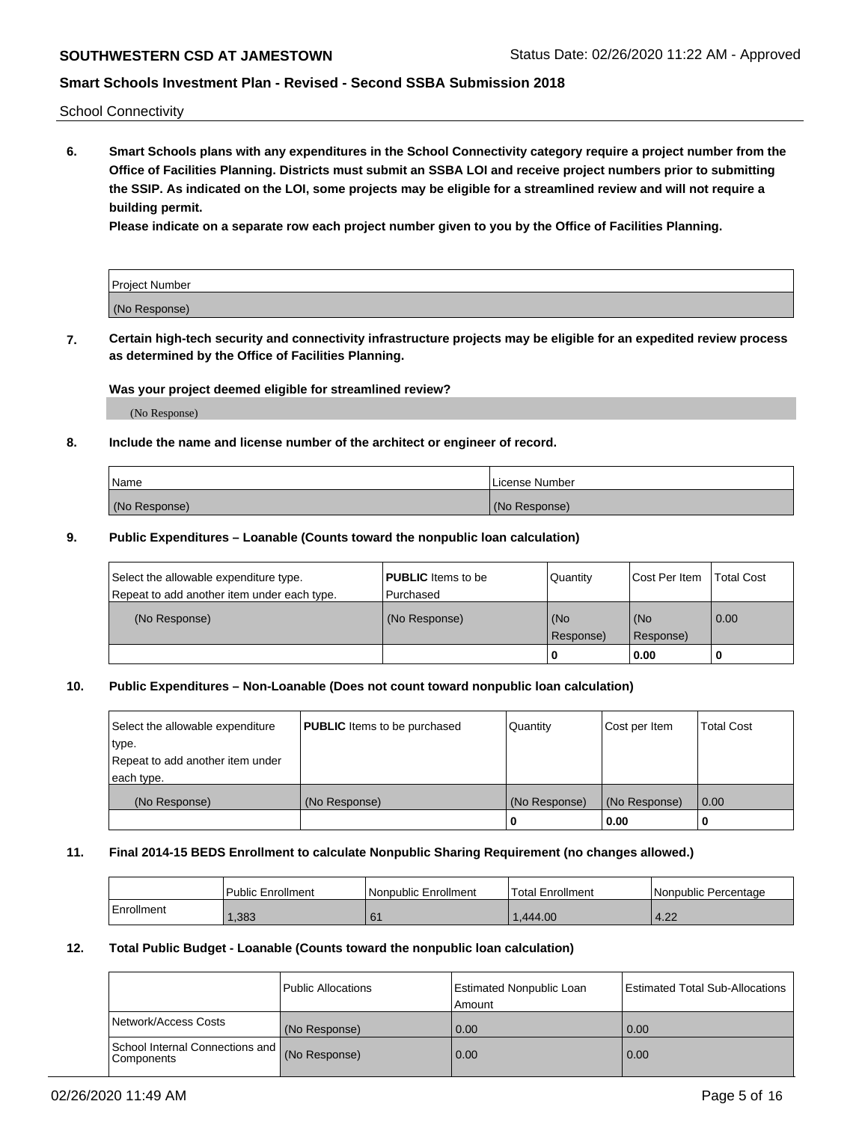School Connectivity

**6. Smart Schools plans with any expenditures in the School Connectivity category require a project number from the Office of Facilities Planning. Districts must submit an SSBA LOI and receive project numbers prior to submitting the SSIP. As indicated on the LOI, some projects may be eligible for a streamlined review and will not require a building permit.**

**Please indicate on a separate row each project number given to you by the Office of Facilities Planning.**

| Project Number |  |
|----------------|--|
| (No Response)  |  |

**7. Certain high-tech security and connectivity infrastructure projects may be eligible for an expedited review process as determined by the Office of Facilities Planning.**

### **Was your project deemed eligible for streamlined review?**

(No Response)

### **8. Include the name and license number of the architect or engineer of record.**

| Name          | License Number |
|---------------|----------------|
| (No Response) | (No Response)  |

### **9. Public Expenditures – Loanable (Counts toward the nonpublic loan calculation)**

| Select the allowable expenditure type.<br>Repeat to add another item under each type. | <b>PUBLIC</b> Items to be<br>l Purchased | Quantity           | Cost Per Item    | <b>Total Cost</b> |
|---------------------------------------------------------------------------------------|------------------------------------------|--------------------|------------------|-------------------|
| (No Response)                                                                         | (No Response)                            | l (No<br>Response) | (No<br>Response) | $\overline{0.00}$ |
|                                                                                       |                                          | O                  | 0.00             |                   |

## **10. Public Expenditures – Non-Loanable (Does not count toward nonpublic loan calculation)**

| Select the allowable expenditure<br>type.<br>Repeat to add another item under<br>each type. | <b>PUBLIC</b> Items to be purchased | Quantity      | Cost per Item | <b>Total Cost</b> |
|---------------------------------------------------------------------------------------------|-------------------------------------|---------------|---------------|-------------------|
| (No Response)                                                                               | (No Response)                       | (No Response) | (No Response) | 0.00              |
|                                                                                             |                                     |               | 0.00          |                   |

#### **11. Final 2014-15 BEDS Enrollment to calculate Nonpublic Sharing Requirement (no changes allowed.)**

|            | Public Enrollment | l Nonpublic Enrollment | <b>Total Enrollment</b> | Nonpublic Percentage |
|------------|-------------------|------------------------|-------------------------|----------------------|
| Enrollment | ,383              | 61                     | 0.444.00                | $\sim$<br>$-4.24$    |

#### **12. Total Public Budget - Loanable (Counts toward the nonpublic loan calculation)**

|                                                      | Public Allocations | <b>Estimated Nonpublic Loan</b><br>Amount | Estimated Total Sub-Allocations |
|------------------------------------------------------|--------------------|-------------------------------------------|---------------------------------|
| Network/Access Costs                                 | (No Response)      | 0.00                                      | 0.00                            |
| School Internal Connections and<br><b>Components</b> | (No Response)      | 0.00                                      | 0.00                            |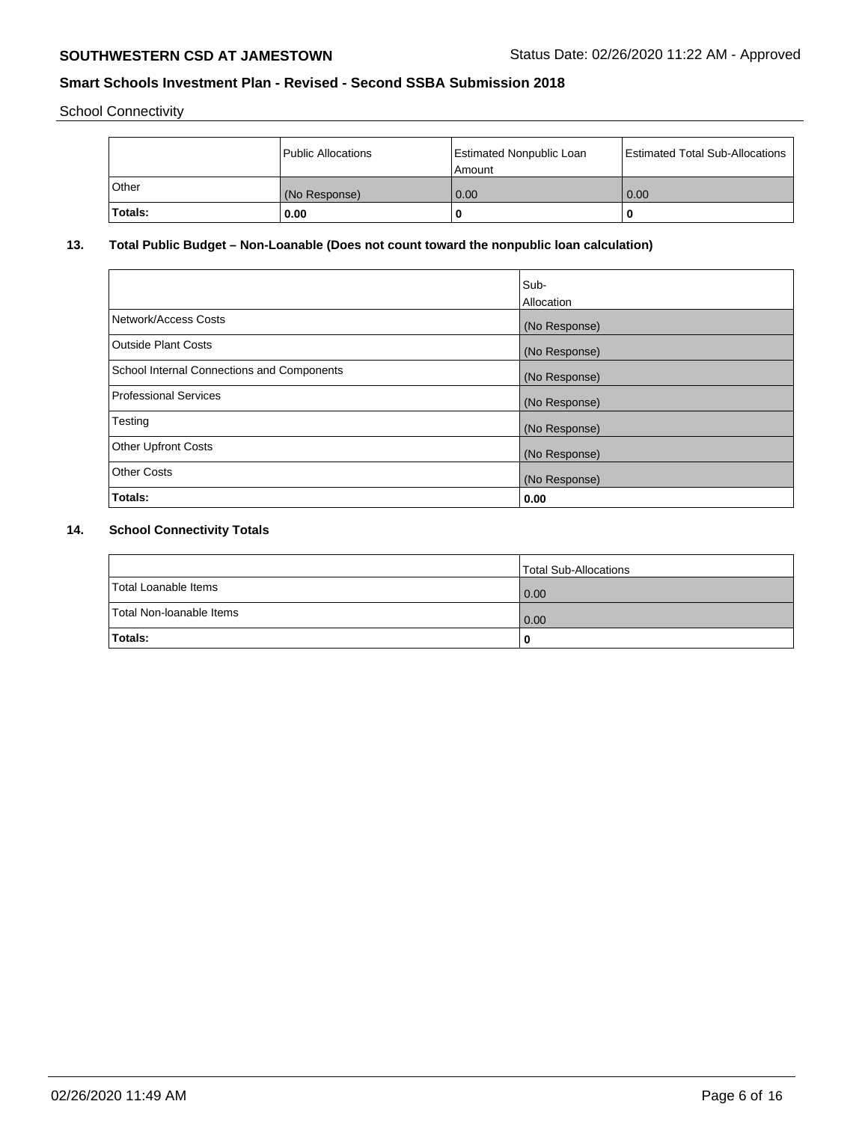School Connectivity

|         | <b>Public Allocations</b> | Estimated Nonpublic Loan<br>l Amount | Estimated Total Sub-Allocations |
|---------|---------------------------|--------------------------------------|---------------------------------|
| Other   | (No Response)             | 0.00                                 | 0.00                            |
| Totals: | 0.00                      | 0                                    |                                 |

# **13. Total Public Budget – Non-Loanable (Does not count toward the nonpublic loan calculation)**

|                                            | Sub-<br>Allocation |
|--------------------------------------------|--------------------|
| Network/Access Costs                       | (No Response)      |
| <b>Outside Plant Costs</b>                 | (No Response)      |
| School Internal Connections and Components | (No Response)      |
| <b>Professional Services</b>               | (No Response)      |
| Testing                                    | (No Response)      |
| <b>Other Upfront Costs</b>                 | (No Response)      |
| <b>Other Costs</b>                         | (No Response)      |
| Totals:                                    | 0.00               |

# **14. School Connectivity Totals**

|                          | Total Sub-Allocations |
|--------------------------|-----------------------|
| Total Loanable Items     | 0.00                  |
| Total Non-Ioanable Items | 0.00                  |
| Totals:                  | 0                     |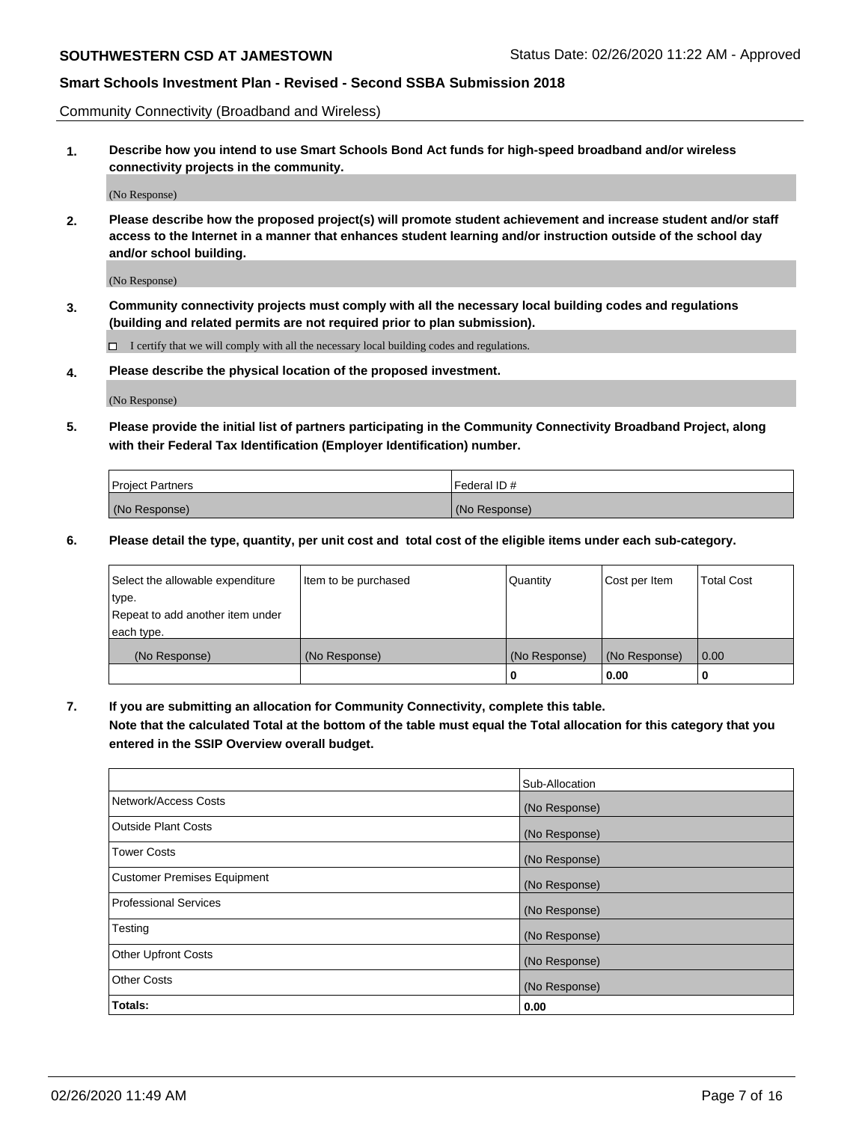Community Connectivity (Broadband and Wireless)

**1. Describe how you intend to use Smart Schools Bond Act funds for high-speed broadband and/or wireless connectivity projects in the community.**

(No Response)

**2. Please describe how the proposed project(s) will promote student achievement and increase student and/or staff access to the Internet in a manner that enhances student learning and/or instruction outside of the school day and/or school building.**

(No Response)

**3. Community connectivity projects must comply with all the necessary local building codes and regulations (building and related permits are not required prior to plan submission).**

 $\Box$  I certify that we will comply with all the necessary local building codes and regulations.

**4. Please describe the physical location of the proposed investment.**

(No Response)

**5. Please provide the initial list of partners participating in the Community Connectivity Broadband Project, along with their Federal Tax Identification (Employer Identification) number.**

| <b>Project Partners</b> | l Federal ID # |
|-------------------------|----------------|
| (No Response)           | (No Response)  |

**6. Please detail the type, quantity, per unit cost and total cost of the eligible items under each sub-category.**

| Select the allowable expenditure | Item to be purchased | Quantity      | Cost per Item | <b>Total Cost</b> |
|----------------------------------|----------------------|---------------|---------------|-------------------|
| type.                            |                      |               |               |                   |
| Repeat to add another item under |                      |               |               |                   |
| each type.                       |                      |               |               |                   |
| (No Response)                    | (No Response)        | (No Response) | (No Response) | 0.00              |
|                                  |                      | o             | 0.00          |                   |

**7. If you are submitting an allocation for Community Connectivity, complete this table.**

**Note that the calculated Total at the bottom of the table must equal the Total allocation for this category that you entered in the SSIP Overview overall budget.**

|                                    | Sub-Allocation |
|------------------------------------|----------------|
| Network/Access Costs               | (No Response)  |
| Outside Plant Costs                | (No Response)  |
| <b>Tower Costs</b>                 | (No Response)  |
| <b>Customer Premises Equipment</b> | (No Response)  |
| <b>Professional Services</b>       | (No Response)  |
| Testing                            | (No Response)  |
| <b>Other Upfront Costs</b>         | (No Response)  |
| <b>Other Costs</b>                 | (No Response)  |
| Totals:                            | 0.00           |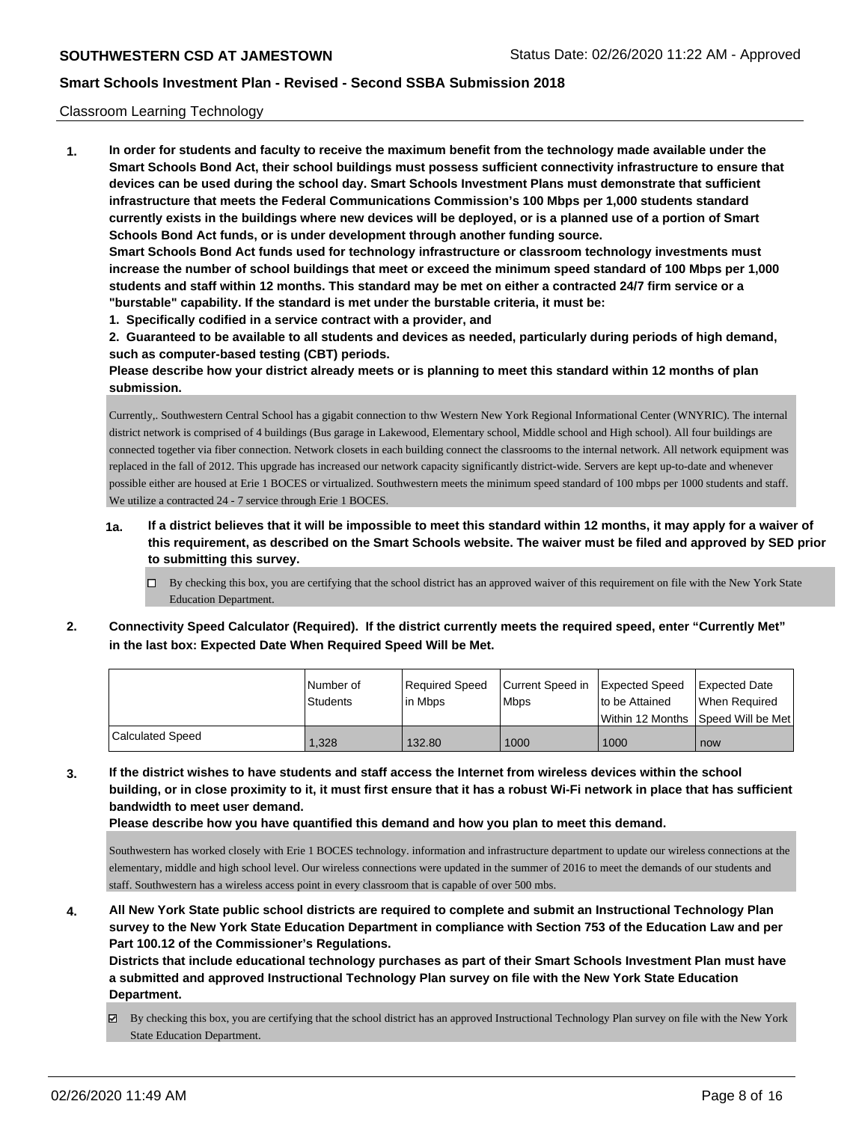### Classroom Learning Technology

**1. In order for students and faculty to receive the maximum benefit from the technology made available under the Smart Schools Bond Act, their school buildings must possess sufficient connectivity infrastructure to ensure that devices can be used during the school day. Smart Schools Investment Plans must demonstrate that sufficient infrastructure that meets the Federal Communications Commission's 100 Mbps per 1,000 students standard currently exists in the buildings where new devices will be deployed, or is a planned use of a portion of Smart Schools Bond Act funds, or is under development through another funding source. Smart Schools Bond Act funds used for technology infrastructure or classroom technology investments must increase the number of school buildings that meet or exceed the minimum speed standard of 100 Mbps per 1,000 students and staff within 12 months. This standard may be met on either a contracted 24/7 firm service or a "burstable" capability. If the standard is met under the burstable criteria, it must be:**

**1. Specifically codified in a service contract with a provider, and**

**2. Guaranteed to be available to all students and devices as needed, particularly during periods of high demand, such as computer-based testing (CBT) periods.**

**Please describe how your district already meets or is planning to meet this standard within 12 months of plan submission.**

Currently,. Southwestern Central School has a gigabit connection to thw Western New York Regional Informational Center (WNYRIC). The internal district network is comprised of 4 buildings (Bus garage in Lakewood, Elementary school, Middle school and High school). All four buildings are connected together via fiber connection. Network closets in each building connect the classrooms to the internal network. All network equipment was replaced in the fall of 2012. This upgrade has increased our network capacity significantly district-wide. Servers are kept up-to-date and whenever possible either are housed at Erie 1 BOCES or virtualized. Southwestern meets the minimum speed standard of 100 mbps per 1000 students and staff. We utilize a contracted 24 - 7 service through Erie 1 BOCES.

- **1a. If a district believes that it will be impossible to meet this standard within 12 months, it may apply for a waiver of this requirement, as described on the Smart Schools website. The waiver must be filed and approved by SED prior to submitting this survey.**
	- By checking this box, you are certifying that the school district has an approved waiver of this requirement on file with the New York State Education Department.
- **2. Connectivity Speed Calculator (Required). If the district currently meets the required speed, enter "Currently Met" in the last box: Expected Date When Required Speed Will be Met.**

|                  | INumber of | Required Speed | Current Speed in Expected Speed |                 | <b>Expected Date</b>                                 |
|------------------|------------|----------------|---------------------------------|-----------------|------------------------------------------------------|
|                  | Students   | l in Mbps      | <b>Mbps</b>                     | Ito be Attained | When Reauired<br>Within 12 Months 1Speed Will be Met |
| Calculated Speed | 1.328      | 132.80         | 1000                            | 1000            | now                                                  |

**3. If the district wishes to have students and staff access the Internet from wireless devices within the school building, or in close proximity to it, it must first ensure that it has a robust Wi-Fi network in place that has sufficient bandwidth to meet user demand.**

**Please describe how you have quantified this demand and how you plan to meet this demand.**

Southwestern has worked closely with Erie 1 BOCES technology. information and infrastructure department to update our wireless connections at the elementary, middle and high school level. Our wireless connections were updated in the summer of 2016 to meet the demands of our students and staff. Southwestern has a wireless access point in every classroom that is capable of over 500 mbs.

**4. All New York State public school districts are required to complete and submit an Instructional Technology Plan survey to the New York State Education Department in compliance with Section 753 of the Education Law and per Part 100.12 of the Commissioner's Regulations.**

**Districts that include educational technology purchases as part of their Smart Schools Investment Plan must have a submitted and approved Instructional Technology Plan survey on file with the New York State Education Department.**

By checking this box, you are certifying that the school district has an approved Instructional Technology Plan survey on file with the New York State Education Department.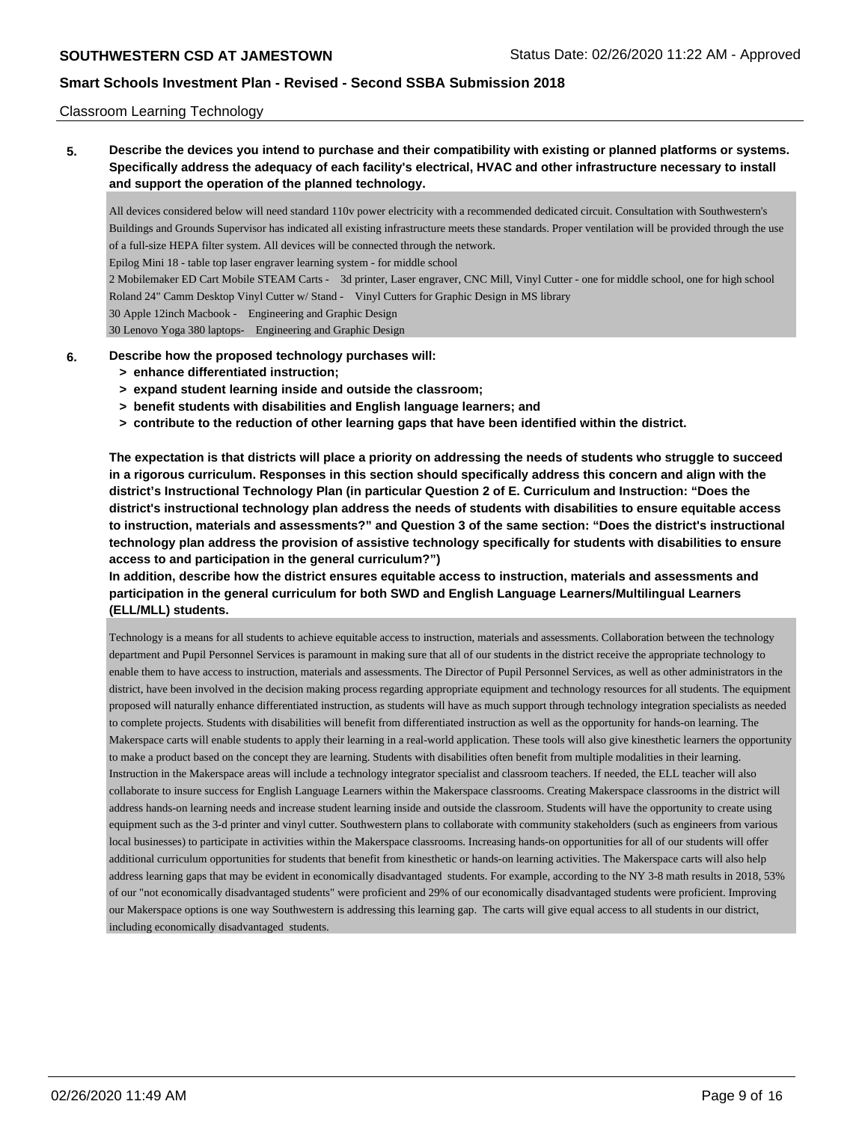### Classroom Learning Technology

**5. Describe the devices you intend to purchase and their compatibility with existing or planned platforms or systems. Specifically address the adequacy of each facility's electrical, HVAC and other infrastructure necessary to install and support the operation of the planned technology.**

All devices considered below will need standard 110v power electricity with a recommended dedicated circuit. Consultation with Southwestern's Buildings and Grounds Supervisor has indicated all existing infrastructure meets these standards. Proper ventilation will be provided through the use of a full-size HEPA filter system. All devices will be connected through the network.

Epilog Mini 18 - table top laser engraver learning system - for middle school

2 Mobilemaker ED Cart Mobile STEAM Carts - 3d printer, Laser engraver, CNC Mill, Vinyl Cutter - one for middle school, one for high school Roland 24" Camm Desktop Vinyl Cutter w/ Stand - Vinyl Cutters for Graphic Design in MS library

30 Apple 12inch Macbook - Engineering and Graphic Design

30 Lenovo Yoga 380 laptops- Engineering and Graphic Design

- **6. Describe how the proposed technology purchases will:**
	- **> enhance differentiated instruction;**
	- **> expand student learning inside and outside the classroom;**
	- **> benefit students with disabilities and English language learners; and**
	- **> contribute to the reduction of other learning gaps that have been identified within the district.**

**The expectation is that districts will place a priority on addressing the needs of students who struggle to succeed in a rigorous curriculum. Responses in this section should specifically address this concern and align with the district's Instructional Technology Plan (in particular Question 2 of E. Curriculum and Instruction: "Does the district's instructional technology plan address the needs of students with disabilities to ensure equitable access to instruction, materials and assessments?" and Question 3 of the same section: "Does the district's instructional technology plan address the provision of assistive technology specifically for students with disabilities to ensure access to and participation in the general curriculum?")**

**In addition, describe how the district ensures equitable access to instruction, materials and assessments and participation in the general curriculum for both SWD and English Language Learners/Multilingual Learners (ELL/MLL) students.**

Technology is a means for all students to achieve equitable access to instruction, materials and assessments. Collaboration between the technology department and Pupil Personnel Services is paramount in making sure that all of our students in the district receive the appropriate technology to enable them to have access to instruction, materials and assessments. The Director of Pupil Personnel Services, as well as other administrators in the district, have been involved in the decision making process regarding appropriate equipment and technology resources for all students. The equipment proposed will naturally enhance differentiated instruction, as students will have as much support through technology integration specialists as needed to complete projects. Students with disabilities will benefit from differentiated instruction as well as the opportunity for hands-on learning. The Makerspace carts will enable students to apply their learning in a real-world application. These tools will also give kinesthetic learners the opportunity to make a product based on the concept they are learning. Students with disabilities often benefit from multiple modalities in their learning. Instruction in the Makerspace areas will include a technology integrator specialist and classroom teachers. If needed, the ELL teacher will also collaborate to insure success for English Language Learners within the Makerspace classrooms. Creating Makerspace classrooms in the district will address hands-on learning needs and increase student learning inside and outside the classroom. Students will have the opportunity to create using equipment such as the 3-d printer and vinyl cutter. Southwestern plans to collaborate with community stakeholders (such as engineers from various local businesses) to participate in activities within the Makerspace classrooms. Increasing hands-on opportunities for all of our students will offer additional curriculum opportunities for students that benefit from kinesthetic or hands-on learning activities. The Makerspace carts will also help address learning gaps that may be evident in economically disadvantaged students. For example, according to the NY 3-8 math results in 2018, 53% of our "not economically disadvantaged students" were proficient and 29% of our economically disadvantaged students were proficient. Improving our Makerspace options is one way Southwestern is addressing this learning gap. The carts will give equal access to all students in our district, including economically disadvantaged students.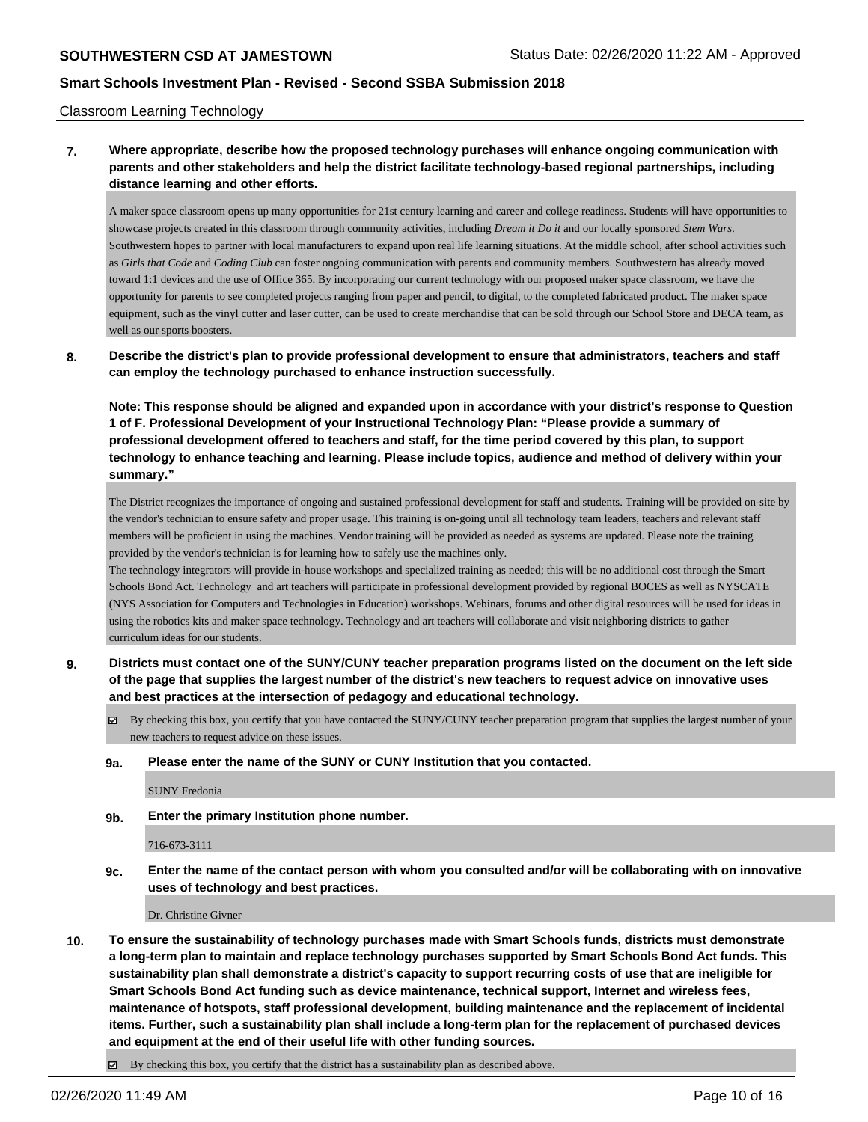### Classroom Learning Technology

# **7. Where appropriate, describe how the proposed technology purchases will enhance ongoing communication with parents and other stakeholders and help the district facilitate technology-based regional partnerships, including distance learning and other efforts.**

A maker space classroom opens up many opportunities for 21st century learning and career and college readiness. Students will have opportunities to showcase projects created in this classroom through community activities, including *Dream it Do it* and our locally sponsored *Stem Wars*. Southwestern hopes to partner with local manufacturers to expand upon real life learning situations. At the middle school, after school activities such as *Girls that Code* and *Coding Club* can foster ongoing communication with parents and community members. Southwestern has already moved toward 1:1 devices and the use of Office 365. By incorporating our current technology with our proposed maker space classroom, we have the opportunity for parents to see completed projects ranging from paper and pencil, to digital, to the completed fabricated product. The maker space equipment, such as the vinyl cutter and laser cutter, can be used to create merchandise that can be sold through our School Store and DECA team, as well as our sports boosters.

### **8. Describe the district's plan to provide professional development to ensure that administrators, teachers and staff can employ the technology purchased to enhance instruction successfully.**

**Note: This response should be aligned and expanded upon in accordance with your district's response to Question 1 of F. Professional Development of your Instructional Technology Plan: "Please provide a summary of professional development offered to teachers and staff, for the time period covered by this plan, to support technology to enhance teaching and learning. Please include topics, audience and method of delivery within your summary."**

The District recognizes the importance of ongoing and sustained professional development for staff and students. Training will be provided on-site by the vendor's technician to ensure safety and proper usage. This training is on-going until all technology team leaders, teachers and relevant staff members will be proficient in using the machines. Vendor training will be provided as needed as systems are updated. Please note the training provided by the vendor's technician is for learning how to safely use the machines only.

The technology integrators will provide in-house workshops and specialized training as needed; this will be no additional cost through the Smart Schools Bond Act. Technology and art teachers will participate in professional development provided by regional BOCES as well as NYSCATE (NYS Association for Computers and Technologies in Education) workshops. Webinars, forums and other digital resources will be used for ideas in using the robotics kits and maker space technology. Technology and art teachers will collaborate and visit neighboring districts to gather curriculum ideas for our students.

- **9. Districts must contact one of the SUNY/CUNY teacher preparation programs listed on the document on the left side of the page that supplies the largest number of the district's new teachers to request advice on innovative uses and best practices at the intersection of pedagogy and educational technology.**
	- $\boxtimes$  By checking this box, you certify that you have contacted the SUNY/CUNY teacher preparation program that supplies the largest number of your new teachers to request advice on these issues.

#### **9a. Please enter the name of the SUNY or CUNY Institution that you contacted.**

SUNY Fredonia

**9b. Enter the primary Institution phone number.**

716-673-3111

**9c. Enter the name of the contact person with whom you consulted and/or will be collaborating with on innovative uses of technology and best practices.**

Dr. Christine Givner

**10. To ensure the sustainability of technology purchases made with Smart Schools funds, districts must demonstrate a long-term plan to maintain and replace technology purchases supported by Smart Schools Bond Act funds. This sustainability plan shall demonstrate a district's capacity to support recurring costs of use that are ineligible for Smart Schools Bond Act funding such as device maintenance, technical support, Internet and wireless fees, maintenance of hotspots, staff professional development, building maintenance and the replacement of incidental items. Further, such a sustainability plan shall include a long-term plan for the replacement of purchased devices and equipment at the end of their useful life with other funding sources.**

By checking this box, you certify that the district has a sustainability plan as described above.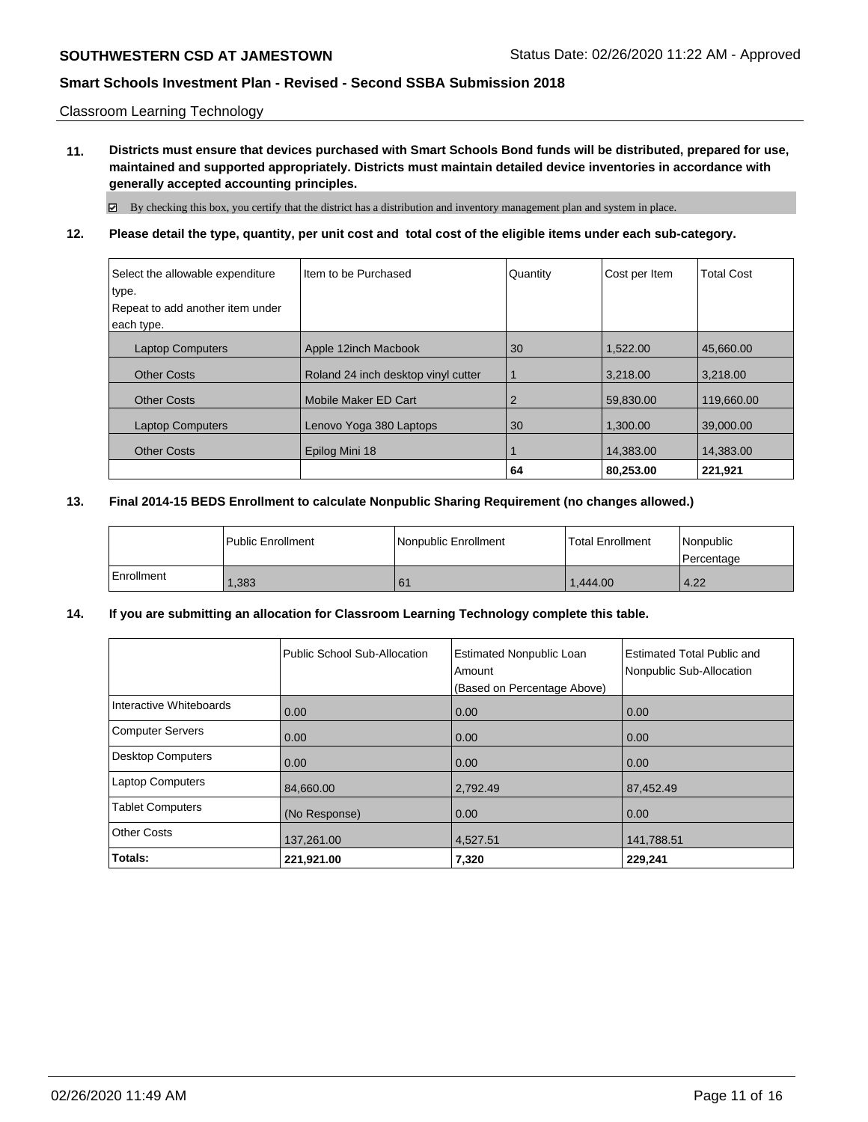Classroom Learning Technology

**11. Districts must ensure that devices purchased with Smart Schools Bond funds will be distributed, prepared for use, maintained and supported appropriately. Districts must maintain detailed device inventories in accordance with generally accepted accounting principles.**

By checking this box, you certify that the district has a distribution and inventory management plan and system in place.

## **12. Please detail the type, quantity, per unit cost and total cost of the eligible items under each sub-category.**

| Select the allowable expenditure | I Item to be Purchased              | Quantity | Cost per Item | <b>Total Cost</b> |
|----------------------------------|-------------------------------------|----------|---------------|-------------------|
| type.                            |                                     |          |               |                   |
| Repeat to add another item under |                                     |          |               |                   |
| each type.                       |                                     |          |               |                   |
| <b>Laptop Computers</b>          | Apple 12inch Macbook                | 30       | 1,522.00      | 45,660.00         |
| <b>Other Costs</b>               | Roland 24 inch desktop vinyl cutter |          | 3,218.00      | 3,218.00          |
| <b>Other Costs</b>               | l Mobile Maker ED Cart              | 2        | 59.830.00     | 119,660.00        |
| <b>Laptop Computers</b>          | Lenovo Yoga 380 Laptops             | 30       | 1,300.00      | 39,000.00         |
| <b>Other Costs</b>               | Epilog Mini 18                      |          | 14,383.00     | 14,383.00         |
|                                  |                                     | 64       | 80,253.00     | 221,921           |

## **13. Final 2014-15 BEDS Enrollment to calculate Nonpublic Sharing Requirement (no changes allowed.)**

|            | <b>Public Enrollment</b> | Nonpublic Enrollment | <b>Total Enrollment</b> | <i>Nonpublic</i><br>l Percentage |
|------------|--------------------------|----------------------|-------------------------|----------------------------------|
| Enrollment | 1,383                    | 61                   | .444.00                 | 4.22                             |

### **14. If you are submitting an allocation for Classroom Learning Technology complete this table.**

|                          | Public School Sub-Allocation | <b>Estimated Nonpublic Loan</b><br>Amount<br>(Based on Percentage Above) | <b>Estimated Total Public and</b><br>Nonpublic Sub-Allocation |
|--------------------------|------------------------------|--------------------------------------------------------------------------|---------------------------------------------------------------|
| Interactive Whiteboards  | 0.00                         | 0.00                                                                     | 0.00                                                          |
| <b>Computer Servers</b>  | 0.00                         | 0.00                                                                     | 0.00                                                          |
| <b>Desktop Computers</b> | 0.00                         | 0.00                                                                     | 0.00                                                          |
| <b>Laptop Computers</b>  | 84,660.00                    | 2,792.49                                                                 | 87,452.49                                                     |
| <b>Tablet Computers</b>  | (No Response)                | 0.00                                                                     | 0.00                                                          |
| <b>Other Costs</b>       | 137,261.00                   | 4,527.51                                                                 | 141,788.51                                                    |
| Totals:                  | 221,921.00                   | 7,320                                                                    | 229,241                                                       |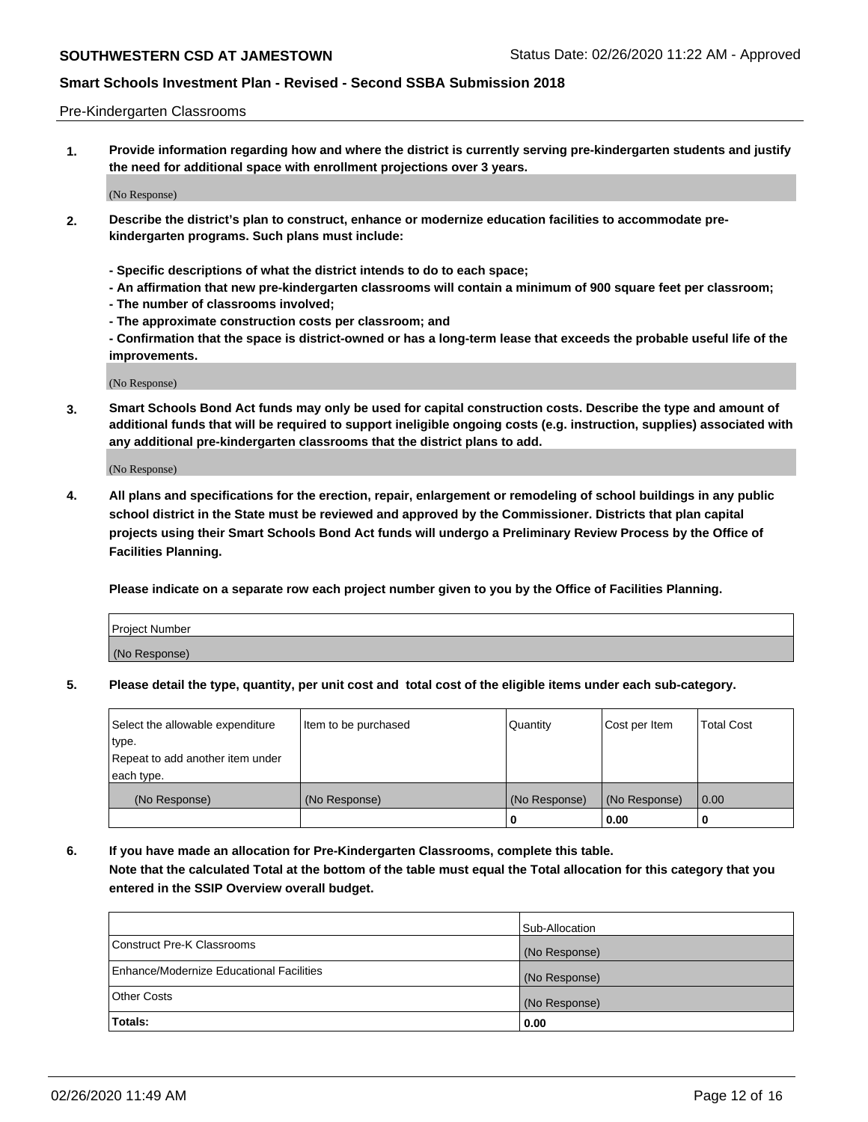#### Pre-Kindergarten Classrooms

**1. Provide information regarding how and where the district is currently serving pre-kindergarten students and justify the need for additional space with enrollment projections over 3 years.**

(No Response)

- **2. Describe the district's plan to construct, enhance or modernize education facilities to accommodate prekindergarten programs. Such plans must include:**
	- **Specific descriptions of what the district intends to do to each space;**
	- **An affirmation that new pre-kindergarten classrooms will contain a minimum of 900 square feet per classroom;**
	- **The number of classrooms involved;**
	- **The approximate construction costs per classroom; and**
	- **Confirmation that the space is district-owned or has a long-term lease that exceeds the probable useful life of the improvements.**

(No Response)

**3. Smart Schools Bond Act funds may only be used for capital construction costs. Describe the type and amount of additional funds that will be required to support ineligible ongoing costs (e.g. instruction, supplies) associated with any additional pre-kindergarten classrooms that the district plans to add.**

(No Response)

**4. All plans and specifications for the erection, repair, enlargement or remodeling of school buildings in any public school district in the State must be reviewed and approved by the Commissioner. Districts that plan capital projects using their Smart Schools Bond Act funds will undergo a Preliminary Review Process by the Office of Facilities Planning.**

**Please indicate on a separate row each project number given to you by the Office of Facilities Planning.**

| Project Number |  |
|----------------|--|
| (No Response)  |  |
|                |  |

**5. Please detail the type, quantity, per unit cost and total cost of the eligible items under each sub-category.**

| Select the allowable expenditure | Item to be purchased | Quantity      | Cost per Item | <b>Total Cost</b> |
|----------------------------------|----------------------|---------------|---------------|-------------------|
| type.                            |                      |               |               |                   |
| Repeat to add another item under |                      |               |               |                   |
| each type.                       |                      |               |               |                   |
| (No Response)                    | (No Response)        | (No Response) | (No Response) | 0.00              |
|                                  |                      | υ             | 0.00          |                   |

**6. If you have made an allocation for Pre-Kindergarten Classrooms, complete this table. Note that the calculated Total at the bottom of the table must equal the Total allocation for this category that you entered in the SSIP Overview overall budget.**

|                                          | Sub-Allocation |
|------------------------------------------|----------------|
| Construct Pre-K Classrooms               | (No Response)  |
| Enhance/Modernize Educational Facilities | (No Response)  |
| <b>Other Costs</b>                       | (No Response)  |
| Totals:                                  | 0.00           |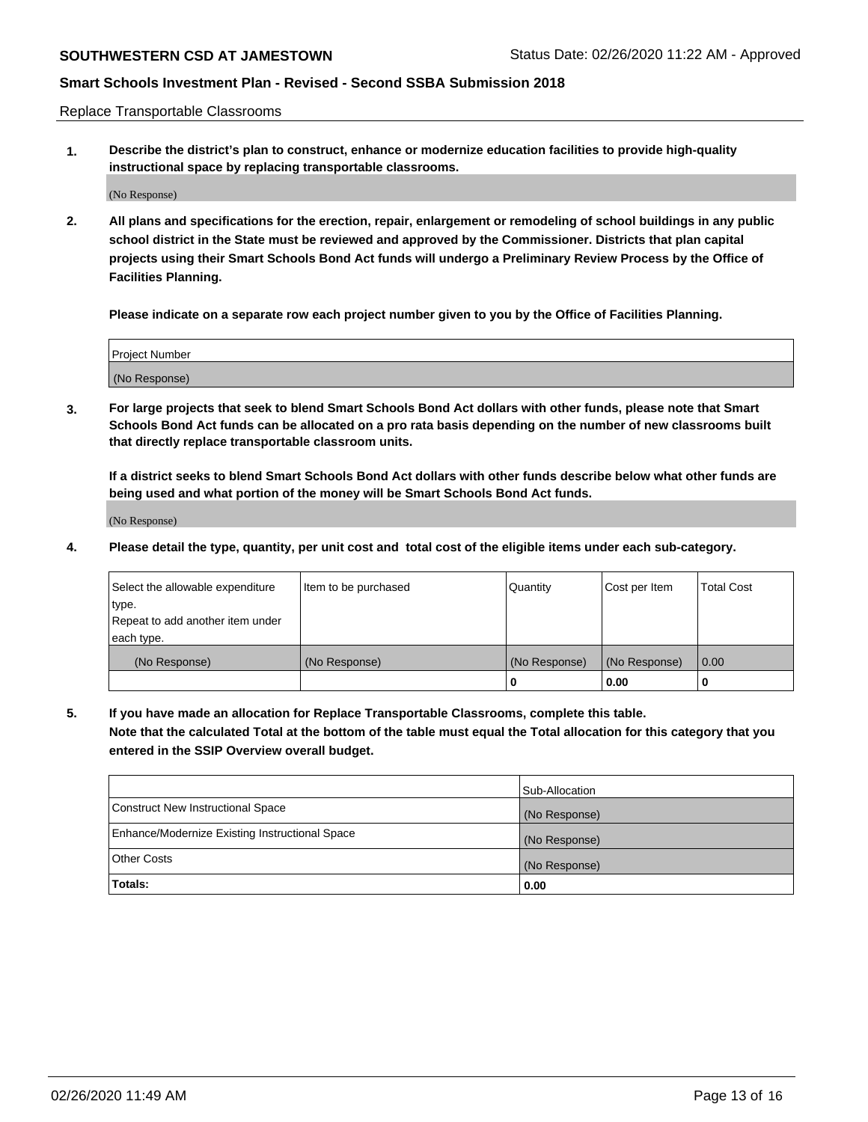Replace Transportable Classrooms

**1. Describe the district's plan to construct, enhance or modernize education facilities to provide high-quality instructional space by replacing transportable classrooms.**

(No Response)

**2. All plans and specifications for the erection, repair, enlargement or remodeling of school buildings in any public school district in the State must be reviewed and approved by the Commissioner. Districts that plan capital projects using their Smart Schools Bond Act funds will undergo a Preliminary Review Process by the Office of Facilities Planning.**

**Please indicate on a separate row each project number given to you by the Office of Facilities Planning.**

| Project Number |  |
|----------------|--|
|                |  |
| (No Response)  |  |

**3. For large projects that seek to blend Smart Schools Bond Act dollars with other funds, please note that Smart Schools Bond Act funds can be allocated on a pro rata basis depending on the number of new classrooms built that directly replace transportable classroom units.**

**If a district seeks to blend Smart Schools Bond Act dollars with other funds describe below what other funds are being used and what portion of the money will be Smart Schools Bond Act funds.**

(No Response)

**4. Please detail the type, quantity, per unit cost and total cost of the eligible items under each sub-category.**

| Select the allowable expenditure | Item to be purchased | Quantity      | Cost per Item | Total Cost |
|----------------------------------|----------------------|---------------|---------------|------------|
| ∣type.                           |                      |               |               |            |
| Repeat to add another item under |                      |               |               |            |
| each type.                       |                      |               |               |            |
| (No Response)                    | (No Response)        | (No Response) | (No Response) | 0.00       |
|                                  |                      | u             | 0.00          |            |

**5. If you have made an allocation for Replace Transportable Classrooms, complete this table. Note that the calculated Total at the bottom of the table must equal the Total allocation for this category that you entered in the SSIP Overview overall budget.**

|                                                | Sub-Allocation |
|------------------------------------------------|----------------|
| Construct New Instructional Space              | (No Response)  |
| Enhance/Modernize Existing Instructional Space | (No Response)  |
| Other Costs                                    | (No Response)  |
| Totals:                                        | 0.00           |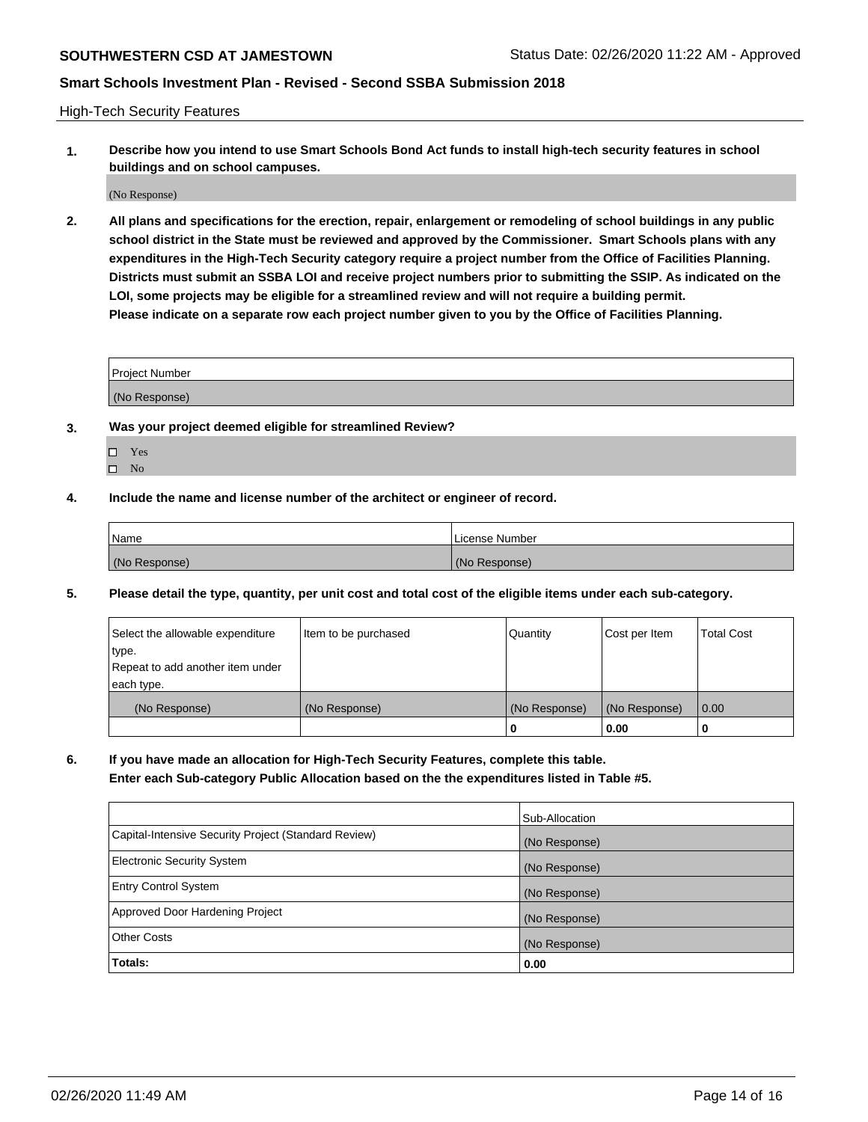High-Tech Security Features

**1. Describe how you intend to use Smart Schools Bond Act funds to install high-tech security features in school buildings and on school campuses.**

(No Response)

**2. All plans and specifications for the erection, repair, enlargement or remodeling of school buildings in any public school district in the State must be reviewed and approved by the Commissioner. Smart Schools plans with any expenditures in the High-Tech Security category require a project number from the Office of Facilities Planning. Districts must submit an SSBA LOI and receive project numbers prior to submitting the SSIP. As indicated on the LOI, some projects may be eligible for a streamlined review and will not require a building permit. Please indicate on a separate row each project number given to you by the Office of Facilities Planning.**

| <b>Project Number</b> |  |
|-----------------------|--|
| (No Response)         |  |

- **3. Was your project deemed eligible for streamlined Review?**
	- Yes
	- $\hfill \square$  No
- **4. Include the name and license number of the architect or engineer of record.**

| <b>Name</b>   | License Number |
|---------------|----------------|
| (No Response) | (No Response)  |

**5. Please detail the type, quantity, per unit cost and total cost of the eligible items under each sub-category.**

| Select the allowable expenditure | Item to be purchased | Quantity      | Cost per Item | <b>Total Cost</b> |
|----------------------------------|----------------------|---------------|---------------|-------------------|
| ∣type.                           |                      |               |               |                   |
| Repeat to add another item under |                      |               |               |                   |
| each type.                       |                      |               |               |                   |
| (No Response)                    | (No Response)        | (No Response) | (No Response) | 0.00              |
|                                  |                      | 0             | 0.00          |                   |

**6. If you have made an allocation for High-Tech Security Features, complete this table.**

**Enter each Sub-category Public Allocation based on the the expenditures listed in Table #5.**

|                                                      | Sub-Allocation |
|------------------------------------------------------|----------------|
| Capital-Intensive Security Project (Standard Review) | (No Response)  |
| <b>Electronic Security System</b>                    | (No Response)  |
| <b>Entry Control System</b>                          | (No Response)  |
| Approved Door Hardening Project                      | (No Response)  |
| <b>Other Costs</b>                                   | (No Response)  |
| Totals:                                              | 0.00           |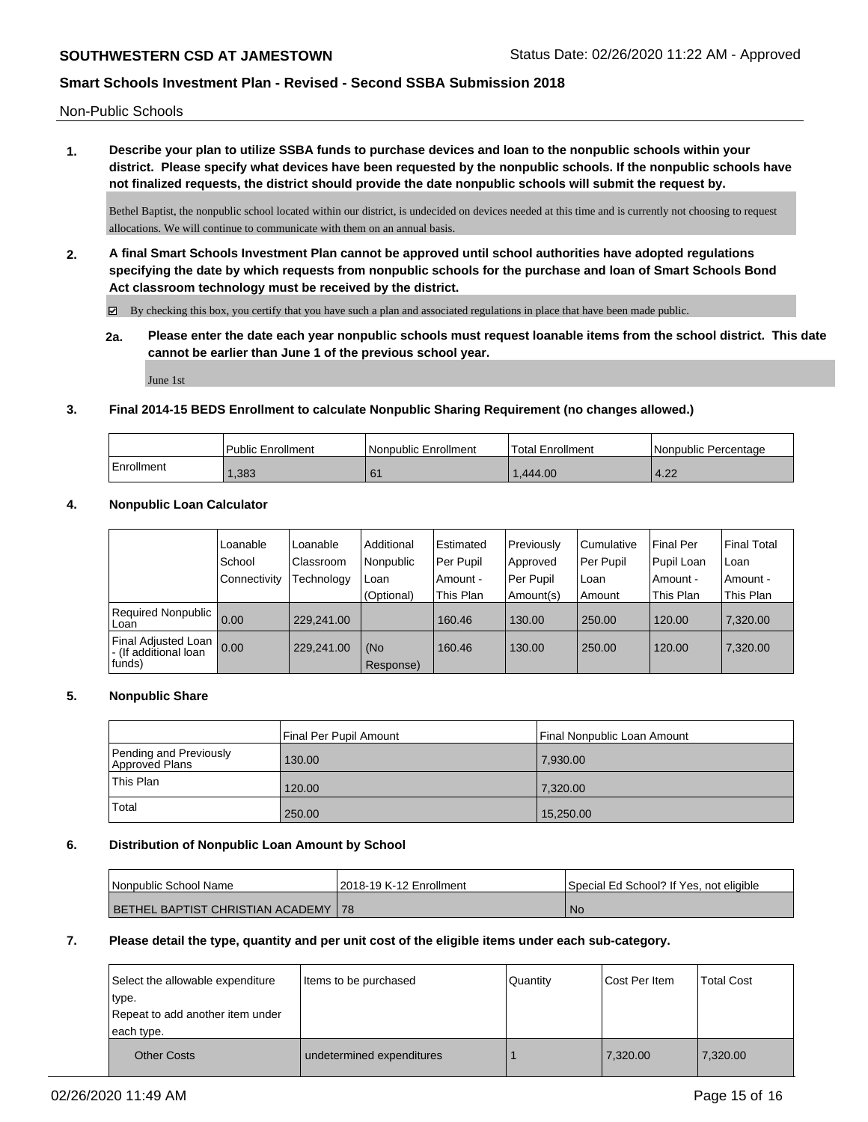Non-Public Schools

**1. Describe your plan to utilize SSBA funds to purchase devices and loan to the nonpublic schools within your district. Please specify what devices have been requested by the nonpublic schools. If the nonpublic schools have not finalized requests, the district should provide the date nonpublic schools will submit the request by.**

Bethel Baptist, the nonpublic school located within our district, is undecided on devices needed at this time and is currently not choosing to request allocations. We will continue to communicate with them on an annual basis.

**2. A final Smart Schools Investment Plan cannot be approved until school authorities have adopted regulations specifying the date by which requests from nonpublic schools for the purchase and loan of Smart Schools Bond Act classroom technology must be received by the district.**

 $\boxtimes$  By checking this box, you certify that you have such a plan and associated regulations in place that have been made public.

**2a. Please enter the date each year nonpublic schools must request loanable items from the school district. This date cannot be earlier than June 1 of the previous school year.**

June 1st

### **3. Final 2014-15 BEDS Enrollment to calculate Nonpublic Sharing Requirement (no changes allowed.)**

|            | Public Enrollment | l Nonpublic Enrollment | 'Total Enrollment | I Nonpublic Percentage |
|------------|-------------------|------------------------|-------------------|------------------------|
| Enrollment | .383              |                        | .444.00           | $AD^{\prime}$<br>7.ZZ  |

### **4. Nonpublic Loan Calculator**

|                                                          | Loanable     | Loanable   | Additional       | <b>Estimated</b> | Previously | Cumulative | <b>Final Per</b> | Final Total |
|----------------------------------------------------------|--------------|------------|------------------|------------------|------------|------------|------------------|-------------|
|                                                          | School       | Classroom  | Nonpublic        | Per Pupil        | Approved   | Per Pupil  | Pupil Loan       | ⊺Loan       |
|                                                          | Connectivity | Technology | Loan             | Amount -         | Per Pupil  | Loan       | Amount -         | Amount -    |
|                                                          |              |            | (Optional)       | This Plan        | Amount(s)  | Amount     | This Plan        | This Plan   |
| Required Nonpublic<br>Loan                               | 0.00         | 229.241.00 |                  | 160.46           | 130.00     | 250.00     | 120.00           | 7.320.00    |
| Final Adjusted Loan<br>I - (If additional loan<br>funds) | 0.00         | 229.241.00 | (No<br>Response) | 160.46           | 130.00     | 250.00     | 120.00           | 7,320.00    |

#### **5. Nonpublic Share**

|           |                                          | Final Per Pupil Amount | Final Nonpublic Loan Amount |
|-----------|------------------------------------------|------------------------|-----------------------------|
|           | Pending and Previously<br>Approved Plans | 130.00                 | 7,930.00                    |
| This Plan |                                          | 120.00                 | 7.320.00                    |
|           | Total                                    | 250.00                 | 15,250.00                   |

#### **6. Distribution of Nonpublic Loan Amount by School**

| <b>Nonpublic School Name</b>                | 2018-19 K-12 Enrollment | Special Ed School? If Yes, not eligible |
|---------------------------------------------|-------------------------|-----------------------------------------|
| <b>BETHEL BAPTIST CHRISTIAN ACADEMY 178</b> |                         | <b>No</b>                               |

#### **7. Please detail the type, quantity and per unit cost of the eligible items under each sub-category.**

| Select the allowable expenditure<br>type.<br>Repeat to add another item under<br>each type. | ltems to be purchased     | Quantity | Cost Per Item | <b>Total Cost</b> |
|---------------------------------------------------------------------------------------------|---------------------------|----------|---------------|-------------------|
| <b>Other Costs</b>                                                                          | undetermined expenditures |          | 7,320.00      | 7,320.00          |